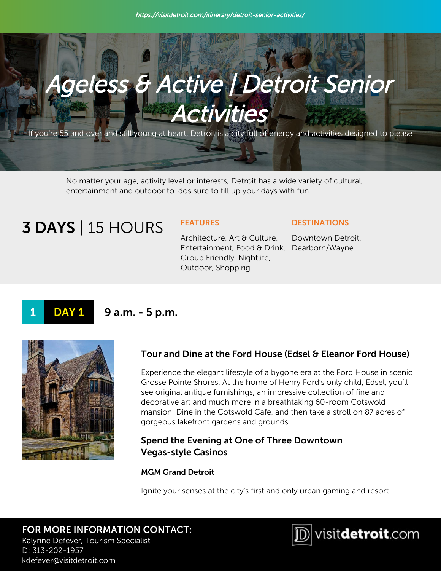

If you're 55 and over and still young at heart, Detroit is a city full of energy and activities designed to please

No matter your age, activity level or interests, Detroit has a wide variety of cultural, entertainment and outdoor to-dos sure to fill up your days with fun.

# **3 DAYS** | 15 HOURS FEATURES

Architecture, Art & Culture, Entertainment, Food & Drink, Dearborn/Wayne Group Friendly, Nightlife, Outdoor, Shopping

#### **DESTINATIONS**

Downtown Detroit,

# 1 **DAY 1** 9 a.m. - 5 p.m.



# Tour and Dine at the Ford House (Edsel & Eleanor Ford House)

Experience the elegant lifestyle of a bygone era at the Ford House in scenic Grosse Pointe Shores. At the home of Henry Ford's only child, Edsel, you'll see original antique furnishings, an impressive collection of fine and decorative art and much more in a breathtaking 60-room Cotswold mansion. Dine in the Cotswold Cafe, and then take a stroll on 87 acres of gorgeous lakefront gardens and grounds.

# Spend the Evening at One of Three Downtown Vegas-style Casinos

MGM Grand Detroit

Ignite your senses at the city's first and only urban gaming and resort

## FOR MORE INFORMATION CONTACT: Kalynne Defever, Tourism Specialist D: 313-202-1957 kdefever@visitdetroit.com

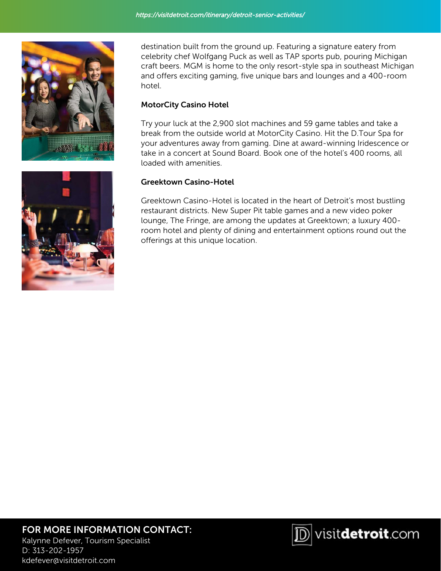

destination built from the ground up. Featuring a signature eatery from celebrity chef Wolfgang Puck as well as TAP sports pub, pouring Michigan craft beers. MGM is home to the only resort-style spa in southeast Michigan and offers exciting gaming, five unique bars and lounges and a 400-room hotel.

## MotorCity Casino Hotel

Try your luck at the 2,900 slot machines and 59 game tables and take a break from the outside world at MotorCity Casino. Hit the D.Tour Spa for your adventures away from gaming. Dine at award-winning Iridescence or take in a concert at Sound Board. Book one of the hotel's 400 rooms, all loaded with amenities.

## Greektown Casino-Hotel

Greektown Casino-Hotel is located in the heart of Detroit's most bustling restaurant districts. New Super Pit table games and a new video poker lounge, The Fringe, are among the updates at Greektown; a luxury 400 room hotel and plenty of dining and entertainment options round out the offerings at this unique location.



# FOR MORE INFORMATION CONTACT:

Kalynne Defever, Tourism Specialist D: 313-202-1957 kdefever@visitdetroit.com

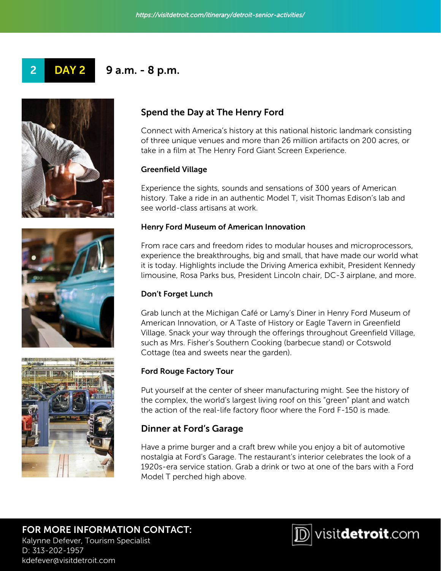







kdefever@visitdetroit.com

# Spend the Day at The Henry Ford

Connect with America's history at this national historic landmark consisting of three unique venues and more than 26 million artifacts on 200 acres, or take in a film at The Henry Ford Giant Screen Experience.

### Greenfield Village

Experience the sights, sounds and sensations of 300 years of American history. Take a ride in an authentic Model T, visit Thomas Edison's lab and see world-class artisans at work.

#### Henry Ford Museum of American Innovation

From race cars and freedom rides to modular houses and microprocessors, experience the breakthroughs, big and small, that have made our world what it is today. Highlights include the Driving America exhibit, President Kennedy limousine, Rosa Parks bus, President Lincoln chair, DC-3 airplane, and more.

### Don't Forget Lunch

Grab lunch at the Michigan Café or Lamy's Diner in Henry Ford Museum of American Innovation, or A Taste of History or Eagle Tavern in Greenfield Village. Snack your way through the offerings throughout Greenfield Village, such as Mrs. Fisher's Southern Cooking (barbecue stand) or Cotswold Cottage (tea and sweets near the garden).

### Ford Rouge Factory Tour

Put yourself at the center of sheer manufacturing might. See the history of the complex, the world's largest living roof on this "green" plant and watch the action of the real-life factory floor where the Ford F-150 is made.

# Dinner at Ford's Garage

Have a prime burger and a craft brew while you enjoy a bit of automotive nostalgia at Ford's Garage. The restaurant's interior celebrates the look of a 1920s-era service station. Grab a drink or two at one of the bars with a Ford Model T perched high above.

# FOR MORE INFORMATION CONTACT: Kalynne Defever, Tourism Specialist D: 313-202-1957

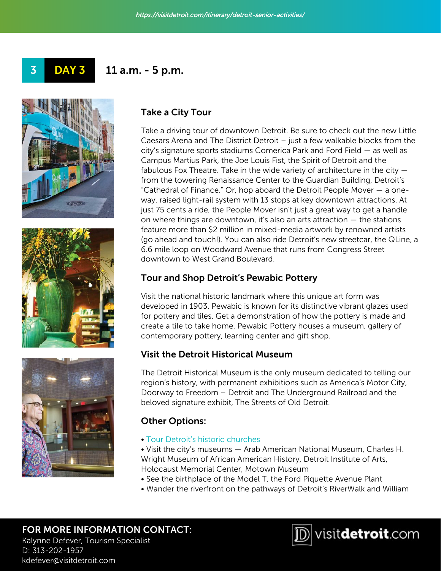







kdefever@visitdetroit.com

# Take a City Tour

Take a driving tour of downtown Detroit. Be sure to check out the new Little Caesars Arena and The District Detroit – just a few walkable blocks from the city's signature sports stadiums Comerica Park and Ford Field — as well as Campus Martius Park, the Joe Louis Fist, the Spirit of Detroit and the fabulous Fox Theatre. Take in the wide variety of architecture in the city  $$ from the towering Renaissance Center to the Guardian Building, Detroit's "Cathedral of Finance." Or, hop aboard the Detroit People Mover — a oneway, raised light-rail system with 13 stops at key downtown attractions. At just 75 cents a ride, the People Mover isn't just a great way to get a handle on where things are downtown, it's also an arts attraction — the stations feature more than \$2 million in mixed-media artwork by renowned artists (go ahead and touch!). You can also ride Detroit's new streetcar, the QLine, a 6.6 mile loop on Woodward Avenue that runs from Congress Street downtown to West Grand Boulevard.

# Tour and Shop Detroit's Pewabic Pottery

Visit the national historic landmark where this unique art form was developed in 1903. Pewabic is known for its distinctive vibrant glazes used for pottery and tiles. Get a demonstration of how the pottery is made and create a tile to take home. Pewabic Pottery houses a museum, gallery of contemporary pottery, learning center and gift shop.

# Visit the Detroit Historical Museum

The Detroit Historical Museum is the only museum dedicated to telling our region's history, with permanent exhibitions such as America's Motor City, Doorway to Freedom – Detroit and The Underground Railroad and the beloved signature exhibit, The Streets of Old Detroit.

# Other Options:

• [Tour Detroit's historic churches](https://visitdetroit.com/itinerary/detroits-churches/)

• Visit the city's museums — Arab American National Museum, Charles H. Wright Museum of African American History, Detroit Institute of Arts, Holocaust Memorial Center, Motown Museum

- See the birthplace of the Model T, the Ford Piquette Avenue Plant
- Wander the riverfront on the pathways of Detroit's RiverWalk and William

## FOR MORE INFORMATION CONTACT: Kalynne Defever, Tourism Specialist D: 313-202-1957